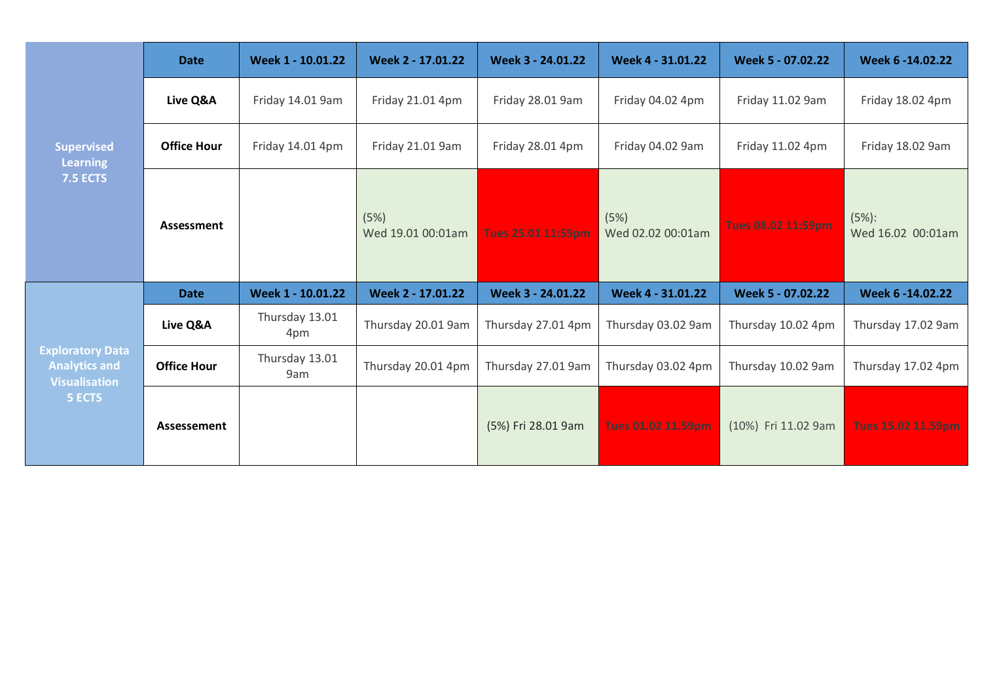| <b>Supervised</b><br><b>Learning</b><br><b>7.5 ECTS</b>                                  | <b>Date</b>        | Week 1 - 10.01.22     | Week 2 - 17.01.22         | Week 3 - 24.01.22  | Week 4 - 31.01.22         | Week 5 - 07.02.22   | Week 6 -14.02.22           |
|------------------------------------------------------------------------------------------|--------------------|-----------------------|---------------------------|--------------------|---------------------------|---------------------|----------------------------|
|                                                                                          | Live Q&A           | Friday 14.01 9am      | Friday 21.01 4pm          | Friday 28.01 9am   | Friday 04.02 4pm          | Friday 11.02 9am    | Friday 18.02 4pm           |
|                                                                                          | <b>Office Hour</b> | Friday 14.01 4pm      | Friday 21.01 9am          | Friday 28.01 4pm   | Friday 04.02 9am          | Friday 11.02 4pm    | Friday 18.02 9am           |
|                                                                                          | Assessment         |                       | (5%)<br>Wed 19.01 00:01am | Tues 25.01 11:59pm | (5%)<br>Wed 02.02 00:01am | Tues 08.02 11:59pm  | (5%):<br>Wed 16.02 00:01am |
| <b>Exploratory Data</b><br><b>Analytics and</b><br><b>Visualisation</b><br><b>5 ECTS</b> | <b>Date</b>        | Week 1 - 10.01.22     | Week 2 - 17.01.22         | Week 3 - 24.01.22  | Week 4 - 31.01.22         | Week 5 - 07.02.22   | Week 6 -14.02.22           |
|                                                                                          | Live Q&A           | Thursday 13.01<br>4pm | Thursday 20.01 9am        | Thursday 27.01 4pm | Thursday 03.02 9am        | Thursday 10.02 4pm  | Thursday 17.02 9am         |
|                                                                                          | <b>Office Hour</b> | Thursday 13.01<br>9am | Thursday 20.01 4pm        | Thursday 27.01 9am | Thursday 03.02 4pm        | Thursday 10.02 9am  | Thursday 17.02 4pm         |
|                                                                                          | Assessement        |                       |                           | (5%) Fri 28.01 9am | Tues 01.02 11.59pm        | (10%) Fri 11.02 9am | Tues 15.02 11.59pm         |